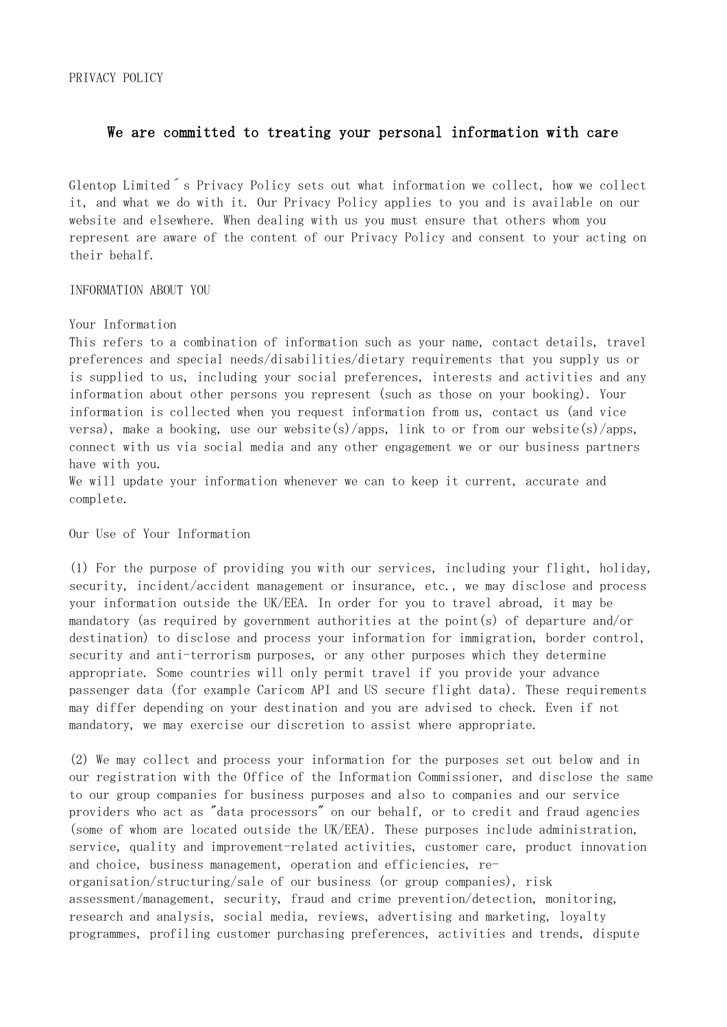## We are committed to treating your personal information with care

Glentop Limited´s Privacy Policy sets out what information we collect, how we collect it, and what we do with it. Our Privacy Policy applies to you and is available on our website and elsewhere. When dealing with us you must ensure that others whom you represent are aware of the content of our Privacy Policy and consent to your acting on their behalf.

INFORMATION ABOUT YOU

#### Your Information

This refers to a combination of information such as your name, contact details, travel preferences and special needs/disabilities/dietary requirements that you supply us or is supplied to us, including your social preferences, interests and activities and any information about other persons you represent (such as those on your booking). Your information is collected when you request information from us, contact us (and vice versa), make a booking, use our website(s)/apps, link to or from our website(s)/apps, connect with us via social media and any other engagement we or our business partners have with you.

We will update your information whenever we can to keep it current, accurate and complete.

Our Use of Your Information

(1) For the purpose of providing you with our services, including your flight, holiday, security, incident/accident management or insurance, etc., we may disclose and process your information outside the UK/EEA. In order for you to travel abroad, it may be mandatory (as required by government authorities at the point(s) of departure and/or destination) to disclose and process your information for immigration, border control, security and anti-terrorism purposes, or any other purposes which they determine appropriate. Some countries will only permit travel if you provide your advance passenger data (for example Caricom API and US secure flight data). These requirements may differ depending on your destination and you are advised to check. Even if not mandatory, we may exercise our discretion to assist where appropriate.

(2) We may collect and process your information for the purposes set out below and in our registration with the Office of the Information Commissioner, and disclose the same to our group companies for business purposes and also to companies and our service providers who act as "data processors" on our behalf, or to credit and fraud agencies (some of whom are located outside the UK/EEA). These purposes include administration, service, quality and improvement-related activities, customer care, product innovation and choice, business management, operation and efficiencies, reorganisation/structuring/sale of our business (or group companies), risk assessment/management, security, fraud and crime prevention/detection, monitoring, research and analysis, social media, reviews, advertising and marketing, loyalty programmes, profiling customer purchasing preferences, activities and trends, dispute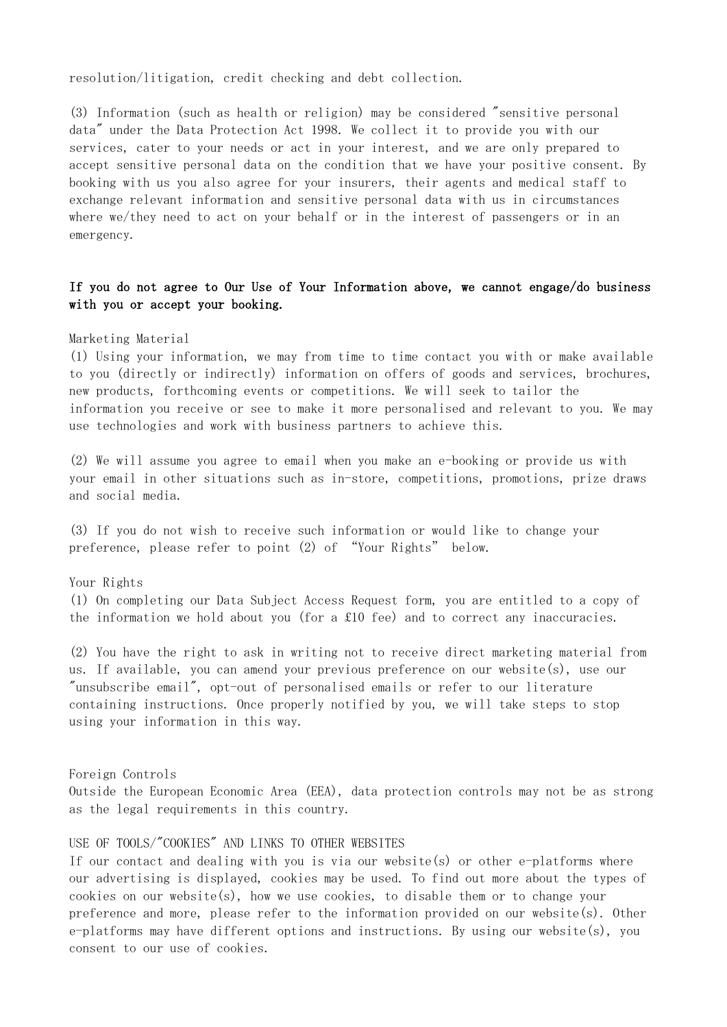resolution/litigation, credit checking and debt collection.

(3) Information (such as health or religion) may be considered "sensitive personal data" under the Data Protection Act 1998. We collect it to provide you with our services, cater to your needs or act in your interest, and we are only prepared to accept sensitive personal data on the condition that we have your positive consent. By booking with us you also agree for your insurers, their agents and medical staff to exchange relevant information and sensitive personal data with us in circumstances where we/they need to act on your behalf or in the interest of passengers or in an emergency.

# If you do not agree to Our Use of Your Information above, we cannot engage/do business with you or accept your booking.

### Marketing Material

(1) Using your information, we may from time to time contact you with or make available to you (directly or indirectly) information on offers of goods and services, brochures, new products, forthcoming events or competitions. We will seek to tailor the information you receive or see to make it more personalised and relevant to you. We may use technologies and work with business partners to achieve this.

(2) We will assume you agree to email when you make an e-booking or provide us with your email in other situations such as in-store, competitions, promotions, prize draws and social media.

(3) If you do not wish to receive such information or would like to change your preference, please refer to point (2) of "Your Rights" below.

Your Rights

(1) On completing our Data Subject Access Request form, you are entitled to a copy of the information we hold about you (for a £10 fee) and to correct any inaccuracies.

(2) You have the right to ask in writing not to receive direct marketing material from us. If available, you can amend your previous preference on our website(s), use our "unsubscribe email", opt-out of personalised emails or refer to our literature containing instructions. Once properly notified by you, we will take steps to stop using your information in this way.

#### Foreign Controls

Outside the European Economic Area (EEA), data protection controls may not be as strong as the legal requirements in this country.

### USE OF TOOLS/"COOKIES" AND LINKS TO OTHER WEBSITES

If our contact and dealing with you is via our website(s) or other e-platforms where our advertising is displayed, cookies may be used. To find out more about the types of cookies on our website(s), how we use cookies, to disable them or to change your preference and more, please refer to the information provided on our website(s). Other e-platforms may have different options and instructions. By using our website(s), you consent to our use of cookies.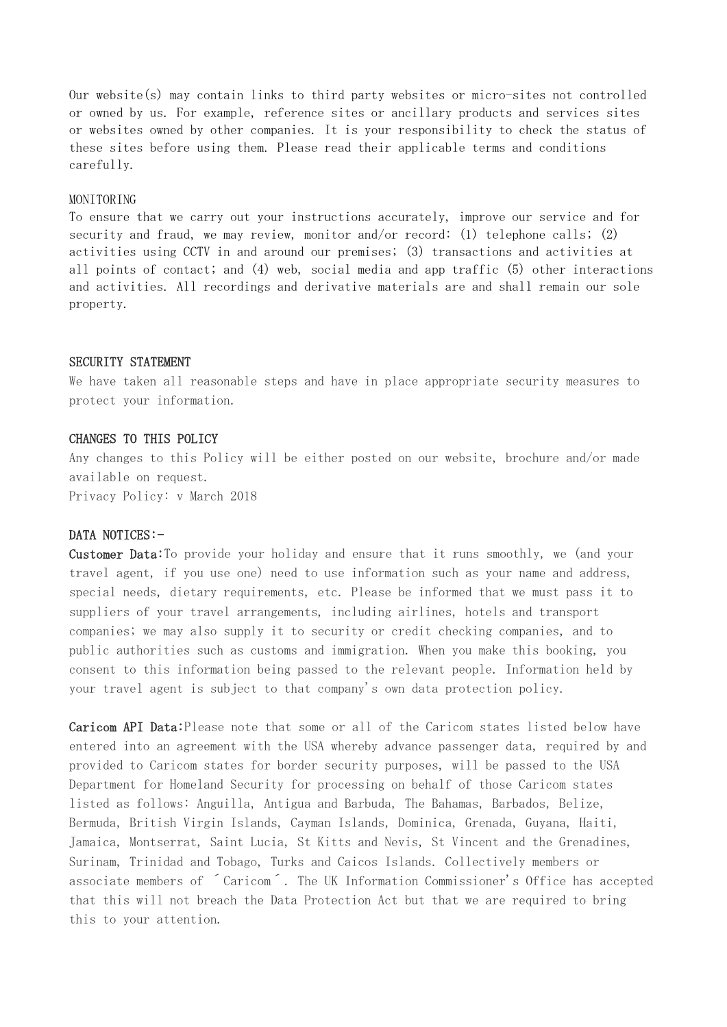Our website(s) may contain links to third party websites or micro-sites not controlled or owned by us. For example, reference sites or ancillary products and services sites or websites owned by other companies. It is your responsibility to check the status of these sites before using them. Please read their applicable terms and conditions carefully.

#### **MONITORING**

To ensure that we carry out your instructions accurately, improve our service and for security and fraud, we may review, monitor and/or record: (1) telephone calls; (2) activities using CCTV in and around our premises; (3) transactions and activities at all points of contact; and (4) web, social media and app traffic (5) other interactions and activities. All recordings and derivative materials are and shall remain our sole property.

#### SECURITY STATEMENT

We have taken all reasonable steps and have in place appropriate security measures to protect your information.

### CHANGES TO THIS POLICY

Any changes to this Policy will be either posted on our website, brochure and/or made available on request. Privacy Policy: v March 2018

### DATA NOTICES:-

Customer Data:To provide your holiday and ensure that it runs smoothly, we (and your travel agent, if you use one) need to use information such as your name and address, special needs, dietary requirements, etc. Please be informed that we must pass it to suppliers of your travel arrangements, including airlines, hotels and transport companies; we may also supply it to security or credit checking companies, and to public authorities such as customs and immigration. When you make this booking, you consent to this information being passed to the relevant people. Information held by your travel agent is subject to that company's own data protection policy.

Caricom API Data:Please note that some or all of the Caricom states listed below have entered into an agreement with the USA whereby advance passenger data, required by and provided to Caricom states for border security purposes, will be passed to the USA Department for Homeland Security for processing on behalf of those Caricom states listed as follows: Anguilla, Antigua and Barbuda, The Bahamas, Barbados, Belize, Bermuda, British Virgin Islands, Cayman Islands, Dominica, Grenada, Guyana, Haiti, Jamaica, Montserrat, Saint Lucia, St Kitts and Nevis, St Vincent and the Grenadines, Surinam, Trinidad and Tobago, Turks and Caicos Islands. Collectively members or associate members of ´Caricom´. The UK Information Commissioner's Office has accepted that this will not breach the Data Protection Act but that we are required to bring this to your attention.